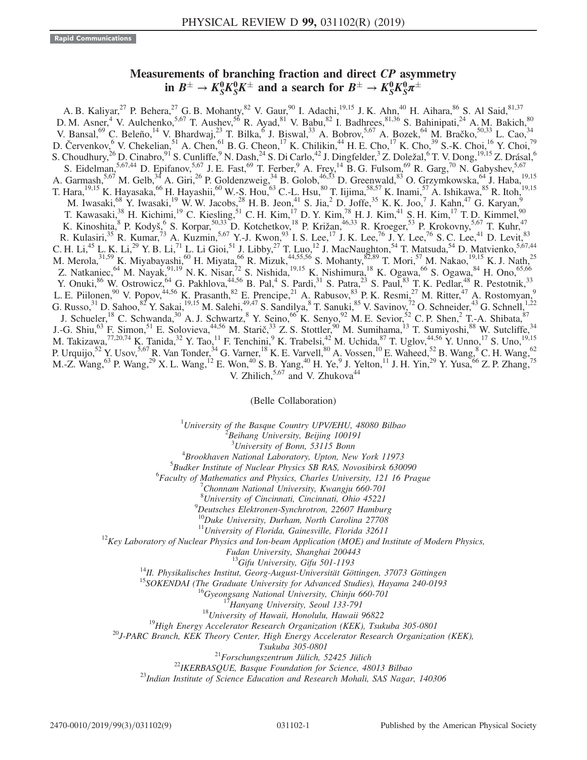## Measurements of branching fraction and direct CP asymmetry in  $B^{\pm} \to K_S^0 K_S^0 K^{\pm}$  and a search for  $B^{\pm} \to K_S^0 K_S^0 \pi^{\pm}$  ${}^0_S K^0_S K^\pm$  and a search for  $B^\pm\to K^0_S K^0_S \pi^\pm$

A. B. Kaliyar,<sup>27</sup> P. Behera,<sup>27</sup> G. B. Mohanty,<sup>82</sup> V. Gaur,<sup>90</sup> I. Adachi,<sup>19,15</sup> J. K. Ahn,<sup>40</sup> H. Aihara,<sup>86</sup> S. Al Said,<sup>81,37</sup> D. M. Asner,<sup>4</sup> V. Aulchenko,<sup>5,67</sup> T. Aushev,<sup>56</sup> R. Ayad,<sup>81</sup> V. Babu,<sup>82</sup> I. Badhrees,<sup>81,36</sup> S. Bahinipati,<sup>24</sup> A. M. Bakich,<sup>80</sup> V. Bansal, <sup>69</sup> C. Beleño, <sup>14</sup> V. Bhardwaj, <sup>23</sup> T. Bilka, <sup>6</sup> J. Biswal, <sup>33</sup> A. Bobrov, <sup>5,67</sup> A. Bozek, <sup>64</sup> M. Bračko, <sup>50,33</sup> L. Cao, <sup>34</sup> D. Červenkov, <sup>6</sup> V. Chekelian, <sup>51</sup> A. Chen, <sup>61</sup> B. G. Cheon, <sup>17</sup> K. Chilikin, <sup>44</sup> H. E. Cho, <sup>17</sup> K. Cho, <sup>39</sup> S.-K. Choi, <sup>16</sup> Y. Choi, <sup>79</sup> S. Choudhury,<sup>26</sup> D. Cinabro,<sup>91</sup> S. Cunliffe,<sup>9</sup> N. Dash,<sup>24</sup> S. Di Carlo,<sup>42</sup> J. Dingfelder,<sup>3</sup> Z. Doležal,<sup>6</sup> T. V. Dong,<sup>19,15</sup> Z. Drásal,<sup>6</sup> S. Eidelman,  $5,67,44$  D. Epifanov,  $5,67$  J. E. Fast,  $69$  T. Ferber,  $9$  A. Frey,  $^{14}$  B. G. Fulsom,  $69$  R. Garg,  $70$  N. Gabyshev,  $5,67$ A. Garmash,<sup>5,67</sup> M. Gelb,<sup>34</sup> A. Giri,<sup>26</sup> P. Goldenzweig,<sup>34</sup> B. Golob,<sup>46,33</sup> D. Greenwald,<sup>83</sup> O. Grzymkowska,<sup>64</sup> J. Haba,<sup>19,15</sup> T. Hara,<sup>19,15</sup> K. Hayasaka,<sup>66</sup> H. Hayashii,<sup>60</sup> W.-S. Hou,<sup>63</sup> C.-L. Hsu,<sup>80</sup> T. Iijima,<sup>58,57</sup> K. Inami,<sup>57</sup> A. Ishikawa,<sup>85</sup> R. Itoh,<sup>19,15</sup> M. Iwasaki,<sup>68</sup> Y. Iwasaki,<sup>19</sup> W. W. Jacobs,<sup>28</sup> H. B. Jeon,<sup>41</sup> S. Jia,<sup>2</sup> D. Joffe,<sup>35</sup> K. K. Joo,<sup>7</sup> J. Kahn,<sup>47</sup> G. Karyan,<sup>9</sup> T. Kawasaki,<sup>38</sup> H. Kichimi,<sup>19</sup> C. Kiesling,<sup>51</sup> C. H. Kim,<sup>17</sup> D. Y. Kim,<sup>78</sup> H. J. Kim,<sup>41</sup> S. H. Kim,<sup>17</sup> T. D. Kimmel,<sup>90</sup> K. Kinoshita, <sup>8</sup> P. Kodyš, <sup>6</sup> S. Korpar, <sup>50,33</sup> D. Kotchetkov, <sup>18</sup> P. Križan, <sup>46,33</sup> R. Kroeger, <sup>53</sup> P. Krokovny, <sup>5,67</sup> T. Kuhr, <sup>47</sup> R. Kulasiri,<sup>35</sup> R. Kumar,<sup>73</sup> A. Kuzmin,<sup>5,67</sup> Y.-J. Kwon,<sup>93</sup> I. S. Lee,<sup>17</sup> J. K. Lee,<sup>76</sup> J. Y. Lee,<sup>76</sup> S. C. Lee,<sup>41</sup> D. Levit,<sup>83</sup> C. H. Li,<sup>45</sup> L. K. Li,<sup>29</sup> Y. B. Li,<sup>71</sup> L. Li Gioi,<sup>51</sup> J. Libby,<sup>27</sup> T. Luo,<sup>12</sup> J. MacNaughton,<sup>54</sup> T. Matsuda,<sup>54</sup> D. Matvienko,<sup>5,67,44</sup> M. Merola,<sup>31,59</sup> K. Miyabayashi,<sup>60</sup> H. Miyata,<sup>66</sup> R. Mizuk,<sup>44,55,56</sup> S. Mohanty,<sup>82,89</sup> T. Mori,<sup>57</sup> M. Nakao,<sup>19,15</sup> K. J. Nath,<sup>25</sup> Z. Natkaniec,<sup>64</sup> M. Nayak,<sup>91,19</sup> N. K. Nisar,<sup>72</sup> S. Nishida,<sup>19,15</sup> K. Nishimura,<sup>18</sup> K. Ogawa,<sup>66</sup> S. Ogawa,<sup>84</sup> H. Ono,<sup>65,66</sup> Y. Onuki,  $86$  W. Ostrowicz,  $64$  G. Pakhlova,  $44,56$  B. Pal,  $4$  S. Pardi,  $31$  S. Patra,  $23$  S. Paul,  $83$  T. K. Pedlar,  $48$  R. Pestotnik,  $33$ L. E. Piilonen, <sup>90</sup> V. Popov, <sup>44,56</sup> K. Prasanth,  $82$  E. Prencipe,  $21$  A. Rabusov,  $83$  P. K. Resmi,  $27$  M. Ritter,  $47$  A. Rostomyan,  $9$ G. Russo,  $31$  D. Sahoo,  $82$  Y. Sakai,  $19,15$  M. Salehi,  $49,47$  S. Sandilya,  $8$  T. Sanuki,  $85$  V. Savinov,  $72$  O. Schneider,  $43$  G. Schnell,  $1,22$ J. Schueler,<sup>18</sup> C. Schwanda,<sup>30</sup> A. J. Schwartz,<sup>8</sup> Y. Seino,<sup>66</sup> K. Senyo,<sup>92</sup> M. E. Sevior,<sup>52</sup> C. P. Shen,<sup>2</sup> T.-A. Shibata,<sup>87</sup> J.-G. Shiu,<sup>63</sup> F. Simon,<sup>51</sup> E. Solovieva,<sup>44,56</sup> M. Starič,<sup>33</sup> Z. S. Stottler,<sup>90</sup> M. Sumihama,<sup>13</sup> T. Sumiyoshi,<sup>88</sup> W. Sutcliffe,<sup>34</sup> M. Takizawa,<sup>77,20,74</sup> K. Tanida,<sup>32</sup> Y. Tao,<sup>11</sup> F. Tenchini,<sup>9</sup> K. Trabelsi,<sup>42</sup> M. Uchida,<sup>87</sup> T. Uglov,<sup>44,56</sup> Y. Unno,<sup>17</sup> S. Uno,<sup>19,15</sup> P. Urquijo,<sup>52</sup> Y. Usov,<sup>5,67</sup> R. Van Tonder,<sup>34</sup> G. Varner,<sup>18</sup> K. E. Varvell,<sup>80</sup> A. Vossen,<sup>10</sup> E. Waheed,<sup>52</sup> B. Wang,<sup>8</sup> C. H. Wang,<sup>62</sup> M.-Z. Wang, <sup>63</sup> P. Wang, <sup>29</sup> X. L. Wang, <sup>12</sup> E. Won, <sup>40</sup> S. B. Yang, <sup>40</sup> H. Ye, <sup>9</sup> J. Yelton, <sup>11</sup> J. H. Yin, <sup>29</sup> Y. Yusa, <sup>66</sup> Z. P. Zhang, <sup>75</sup> V. Zhilich, $5,67$  and V. Zhukova<sup>44</sup>

(Belle Collaboration)

<sup>1</sup>University of the Basque Country UPV/EHU, 48080 Bilbao  $\frac{2 \text{ B} \text{g} \cdot \text{h}}{2 \text{ B} \text{g} \cdot \text{h}}$  are properties and  $\frac{2 \text{ B} \text{g}}{2 \text{ g}}$  and  $\frac{2 \text{ B} \text{g}}{2 \text{ g}}$  and  $\frac{2 \text{ B} \text{g}}{2 \text{ g}}$  and  $\frac{2 \text{ B} \text{g}}{2$ 

Beihang University, Beijing 100191

<sup>3</sup> University of Bonn, 53115 Bonn<br><sup>4</sup> Brookhavan National Laboratory, Unton Nav

 ${}^{4}$ Brookhaven National Laboratory, Upton, New York 11973

 $<sup>5</sup>Budker Institute of Nuclear Physics SB RAS, Novosibirsk 630090$ </sup>

 ${}^{6}$ Faculty of Mathematics and Physics, Charles University, 121 16 Prague

Chonnam National University, Kwangju 660-701

<sup>8</sup> University of Cincinnati, Cincinnati, Ohio 45221

Deutsches Elektronen-Synchrotron, 22607 Hamburg

 $^{10}$ Duke University, Durham, North Carolina 27708<br> $^{11}$ University of Florida, Gainesville, Florida 32611

 $12$ Key Laboratory of Nuclear Physics and Ion-beam Application (MOE) and Institute of Modern Physics,

Fudan University, Shanghai 200443<br><sup>13</sup>Gifu University, Gifu 501-1193<br><sup>14</sup>II. Physikalisches Institut, Georg-August-Universität Göttingen, 37073 Göttingen<br><sup>15</sup>SOKENDAI (The Graduate University for Advanced Studies), Hayama

Tsukuba 305-0801<br><sup>21</sup>Forschungszentrum Jülich, 52425 Jülich<sup>22</sup>IKERBASQUE, Basque Foundation for Science, 48013 Bilbao<br><sup>23</sup>Indian Institute of Science Education and Research Mohali, SAS Nagar, 140306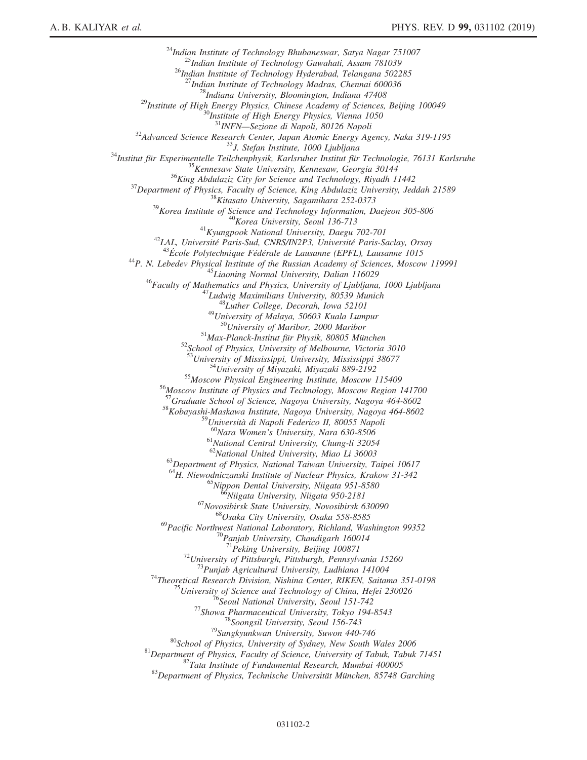<sup>24</sup>Indian Institute of Technology Bhubaneswar, Satya Nagar 751007<br><sup>25</sup>Indian Institute of Technology Guwahati, Assam 781039<br><sup>26</sup>Indian Institute of Technology Hyderabad, Telangana 502285<br><sup>27</sup>Indian Institute of Technolog <sup>28</sup>Indiana University, Bloomington, Indiana 47408<br><sup>29</sup>Institute of High Energy Physics, Chinese Academy of Sciences, Beijing 100049<br><sup>30</sup>Institute of High Energy Physics, Vienna 1050<br><sup>31</sup>INFN—Sezione di Napoli, 80126 Napo  $\begin{tabular}{c} \begin{tabular}{c} $^{31}$\m NFWN–Sezione di Napoli, 80126 Napoli \\ $^{32}$\m Advanced Science Research Center, Japan Atomic Energy Agency, Nak 319-1195 \\ $^{34}$\m Institute für Experimentale Teilchenphysik, Karlsruher Institut für Technologie, 76131 Karlsruhe \\ $^{34}$\m The Experimentalle Teilchenphysik, Karlsruher Institut für Technologie, 76131 Karlsruhe \\ $^{36}$\m King Abdulziz City for Science and Technology, Rivadih 11442 \\ $^{37}$\m Department of Physics, Faculty of Science, King Abdudziz University, Jeddal 21589 \\ $^{38}$$ <sup>52</sup>School of Physics, University of Melbourne, Victoria 3010<br><sup>53</sup>University of Mississippi, University, Mississippi 38677<br><sup>54</sup>University of Miyazaki, Miyazaki 889-2192<br><sup>55</sup>Moscow Physical Engineering Institute, Moscow 11 <sup>58</sup>Kobayashi-Maskawa Institute, Nagoya University, Nagoya 464-8602<br><sup>59</sup>Università di Napoli Federico II, 80055 Napoli  $^{60}$ Nara Women's University, Nara 630-8506<br> $^{61}$ National Central University, Chung-li 32054<br> $^{62}$ National United University, Miao Li 36003  $^{63}$ Department of Physics, National Taiwan University, Taipei 10617 <sup>64</sup>H. Niewodniczanski Institute of Nuclear Physics, Krakow 31-342<br><sup>65</sup>Nippon Dental University, Niigata 951-8580<br><sup>66</sup>Niigata University, Niigata 950-2181<br><sup>67</sup>Novosibirsk State University, Novosibirsk 630090<br><sup>68</sup>Osaka Cit <sup>69</sup>Pacific Northwest National Laboratory, Richland, Washington 99352<br><sup>70</sup>Panjab University, Chandigarh 160014<br><sup>71</sup>Peking University, Beijing 100871 <sup>71</sup>Peking University, Beijing 100871<br><sup>72</sup>University of Pittsburgh, Pittsburgh, Pennsylvania 15260<br><sup>73</sup>Punjab Agricultural University, Ludhiana 141004<br><sup>74</sup>Theoretical Research Division, Nishina Center, RIKEN, Saitama 351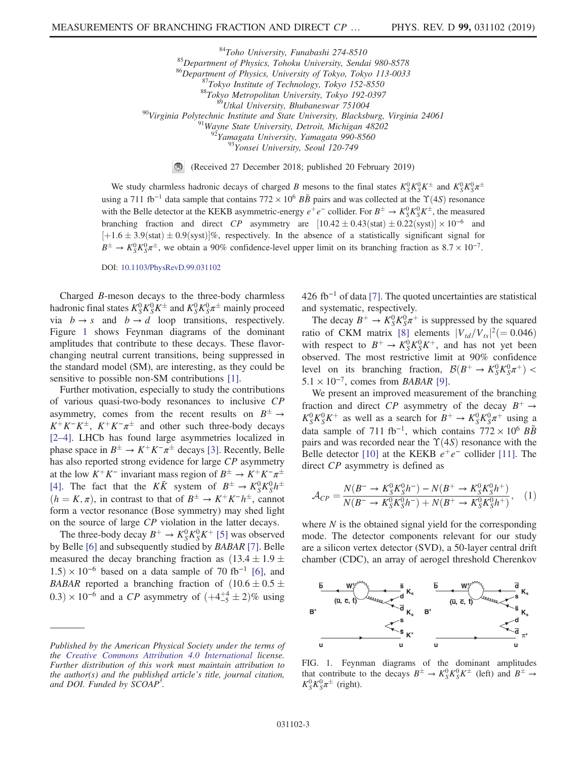<sup>84</sup>Toho University, Funabashi 274-8510<br>
<sup>85</sup>Department of Physics, Tohoku University, Sendai 980-8578<br>
<sup>86</sup>Department of Physics, University of Tokyo, Tokyo 113-0033<br>
<sup>87</sup>Tokyo Institute of Technology, Tokyo 152-8550<br>
<sup>8</sup>

(Received 27 December 2018; published 20 February 2019)  $\bigcirc$ 

We study charmless hadronic decays of charged B mesons to the final states  $K_S^0 K_S^0 K^{\pm}$  and  $K_S^0 K_S^0 \pi^{\pm}$ using a 711 fb<sup>-1</sup> data sample that contains 772 × 10<sup>6</sup>  $B\bar{B}$  pairs and was collected at the  $\Upsilon(4S)$  resonance with the Belle detector at the KEKB asymmetric-energy  $e^+e^-$  collider. For  $B^{\pm} \to K_S^0 K_S^0 K^{\pm}$ , the measured branching fraction and direct CP asymmetry are  $[10.42 \pm 0.43 \text{(stat)} \pm 0.22 \text{(syst)}] \times 10^{-6}$  and  $[+1.6 \pm 3.9$ (stat)  $\pm 0.9$ (syst)]%, respectively. In the absence of a statistically significant signal for  $B^{\pm} \to K_S^0 K_S^0 \pi^{\pm}$ , we obtain a 90% confidence-level upper limit on its branching fraction as  $8.7 \times 10^{-7}$ .

## DOI: [10.1103/PhysRevD.99.031102](https://doi.org/10.1103/PhysRevD.99.031102)

Charged B-meson decays to the three-body charmless hadronic final states  $K_S^0 K_S^0 K^{\pm}$  and  $K_S^0 K_S^0 \pi^{\pm}$  mainly proceed via  $b \rightarrow s$  and  $b \rightarrow d$  loop transitions, respectively. Figure [1](#page-2-0) shows Feynman diagrams of the dominant amplitudes that contribute to these decays. These flavorchanging neutral current transitions, being suppressed in the standard model (SM), are interesting, as they could be sensitive to possible non-SM contributions [\[1\]](#page-8-0).

Further motivation, especially to study the contributions of various quasi-two-body resonances to inclusive CP asymmetry, comes from the recent results on  $B^{\pm} \rightarrow$  $K^+K^-K^{\pm}$ ,  $K^+K^-\pi^{\pm}$  and other such three-body decays [\[2](#page-8-1)–4]. LHCb has found large asymmetries localized in phase space in  $B^{\pm} \to K^{+} K^{-} \pi^{\pm}$  decays [\[3\]](#page-8-2). Recently, Belle has also reported strong evidence for large CP asymmetry at the low  $K^+K^-$  invariant mass region of  $B^{\pm} \to K^+K^-\pi^{\pm}$ [\[4\]](#page-8-3). The fact that the  $K\bar{K}$  system of  $B^{\pm} \rightarrow K_S^0 K_S^0 h^{\pm}$  $(h = K, \pi)$ , in contrast to that of  $B^{\pm} \to K^{+} K^{-} h^{\pm}$ , cannot form a vector resonance (Bose symmetry) may shed light on the source of large CP violation in the latter decays.

The three-body decay  $B^+ \to K_S^0 K_S^0 K^+$  [\[5\]](#page-8-4) was observed by Belle [\[6\]](#page-8-5) and subsequently studied by BABAR [\[7\]](#page-8-6). Belle measured the decay branching fraction as  $(13.4 \pm 1.9 \pm 1.9)$  $1.5 \times 10^{-6}$  based on a data sample of 70 fb<sup>-1</sup> [\[6\],](#page-8-5) and BABAR reported a branching fraction of  $(10.6 \pm 0.5 \pm 0.5)$ 0.3) × 10<sup>-6</sup> and a *CP* asymmetry of  $(+4^{+4}_{-5} \pm 2)\%$  using 426 fb<sup>-1</sup> of data [\[7\].](#page-8-6) The quoted uncertainties are statistical and systematic, respectively.

The decay  $B^+ \to K_S^0 K_S^0 \pi^+$  is suppressed by the squared ratio of CKM matrix [\[8\]](#page-8-7) elements  $|V_{td}/V_{ts}|^2 (= 0.046)$ with respect to  $B^+ \to K_S^0 K_S^0 K^+$ , and has not yet been observed. The most restrictive limit at 90% confidence level on its branching fraction,  $\mathcal{B}(B^+ \to K_S^0 K_S^0 \pi^+)$  <  $5.1 \times 10^{-7}$ , comes from *BABAR* [\[9\]](#page-8-8).

We present an improved measurement of the branching fraction and direct CP asymmetry of the decay  $B^+ \rightarrow$  $K_S^0 K_S^0 K^+$  as well as a search for  $B^+ \to K_S^0 K_S^0 \pi^+$  using a data sample of 711 fb<sup>-1</sup>, which contains  $772 \times 10^6$   $B\overline{B}$ pairs and was recorded near the  $\Upsilon(4S)$  resonance with the Belle detector [\[10\]](#page-8-9) at the KEKB  $e^+e^-$  collider [\[11\]](#page-8-10). The direct CP asymmetry is defined as

$$
\mathcal{A}_{CP} = \frac{N(B^- \to K_S^0 K_S^0 h^-) - N(B^+ \to K_S^0 K_S^0 h^+)}{N(B^- \to K_S^0 K_S^0 h^-) + N(B^+ \to K_S^0 K_S^0 h^+)}, \quad (1)
$$

where  $N$  is the obtained signal yield for the corresponding mode. The detector components relevant for our study are a silicon vertex detector (SVD), a 50-layer central drift chamber (CDC), an array of aerogel threshold Cherenkov

<span id="page-2-0"></span>

FIG. 1. Feynman diagrams of the dominant amplitudes that contribute to the decays  $B^{\pm} \to K_S^0 K_S^0 K^{\pm}$  (left) and  $B^{\pm} \to$  $K_S^0 K_S^0 \pi^{\pm}$  (right).

Published by the American Physical Society under the terms of the [Creative Commons Attribution 4.0 International](https://creativecommons.org/licenses/by/4.0/) license. Further distribution of this work must maintain attribution to the author(s) and the published article's title, journal citation, and DOI. Funded by SCOAP<sup>3</sup>.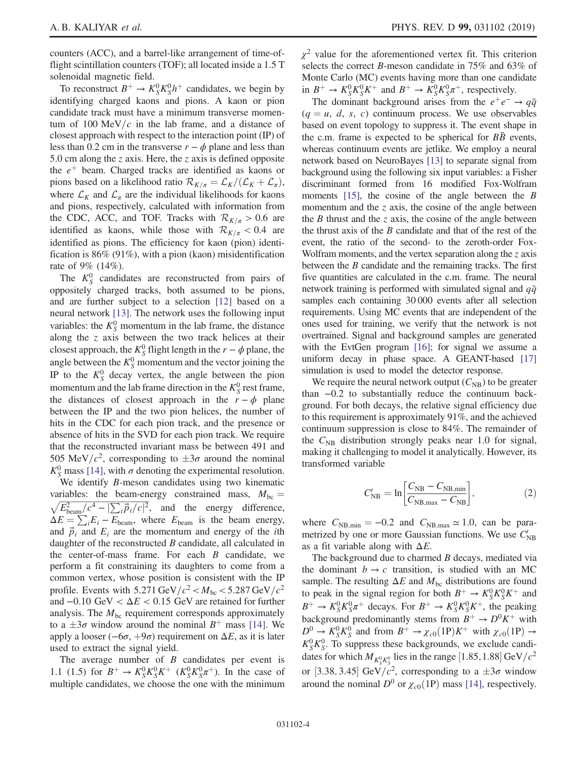counters (ACC), and a barrel-like arrangement of time-offlight scintillation counters (TOF); all located inside a 1.5 T solenoidal magnetic field.

To reconstruct  $B^+ \to K_S^0 K_S^0 h^+$  candidates, we begin by identifying charged kaons and pions. A kaon or pion candidate track must have a minimum transverse momentum of 100 MeV/c in the lab frame, and a distance of closest approach with respect to the interaction point (IP) of less than 0.2 cm in the transverse  $r - \phi$  plane and less than 5.0 cm along the z axis. Here, the z axis is defined opposite the  $e^+$  beam. Charged tracks are identified as kaons or pions based on a likelihood ratio  $\mathcal{R}_{K/\pi} = \mathcal{L}_K / (\mathcal{L}_K + \mathcal{L}_\pi)$ , where  $\mathcal{L}_K$  and  $\mathcal{L}_{\pi}$  are the individual likelihoods for kaons and pions, respectively, calculated with information from the CDC, ACC, and TOF. Tracks with  $\mathcal{R}_{K/\pi} > 0.6$  are identified as kaons, while those with  $\mathcal{R}_{K/\pi}$  < 0.4 are identified as pions. The efficiency for kaon (pion) identification is 86% (91%), with a pion (kaon) misidentification rate of 9% (14%).

The  $K_S^0$  candidates are reconstructed from pairs of oppositely charged tracks, both assumed to be pions, and are further subject to a selection [\[12\]](#page-8-11) based on a neural network [\[13\].](#page-8-12) The network uses the following input variables: the  $K_S^0$  momentum in the lab frame, the distance along the z axis between the two track helices at their closest approach, the  $K_S^0$  flight length in the  $r - \phi$  plane, the angle between the  $K_S^0$  momentum and the vector joining the IP to the  $K_S^0$  decay vertex, the angle between the pion momentum and the lab frame direction in the  $K_S^0$  rest frame, the distances of closest approach in the  $r - \phi$  plane between the IP and the two pion helices, the number of hits in the CDC for each pion track, and the presence or absence of hits in the SVD for each pion track. We require that the reconstructed invariant mass be between 491 and 505 MeV/ $c^2$ , corresponding to  $\pm 3\sigma$  around the nominal  $K_S^0$  mass [\[14\],](#page-8-13) with  $\sigma$  denoting the experimental resolution.

We identify *B*-meson candidates using two kinematic variables: the beam-energy constrained mass,  $M_{bc} = \sqrt{E_{\text{beam}}^2/c^4 - |\sum_i \vec{p}_i/c|^2}$ , and the energy difference,  $\Delta E = \sum_{i} E_i - E_{\text{beam}}$ , where  $E_{\text{beam}}$  is the beam energy, and  $\vec{p}_i$  and  $E_i$  are the momentum and energy of the *i*th daughter of the reconstructed B candidate, all calculated in the center-of-mass frame. For each  $B$  candidate, we perform a fit constraining its daughters to come from a common vertex, whose position is consistent with the IP profile. Events with  $5.271 \text{ GeV}/c^2 < M_{\text{bc}} < 5.287 \text{ GeV}/c^2$ and  $-0.10 \text{ GeV} < \Delta E < 0.15 \text{ GeV}$  are retained for further analysis. The  $M_{bc}$  requirement corresponds approximately to a  $\pm 3\sigma$  window around the nominal  $B^+$  mass [\[14\]](#page-8-13). We apply a looser ( $-6\sigma$ ,  $+9\sigma$ ) requirement on  $\Delta E$ , as it is later used to extract the signal yield.

The average number of  $B$  candidates per event is 1.1 (1.5) for  $B^+ \to K_S^0 K_S^0 K^+$  ( $K_S^0 K_S^0 \pi^+$ ). In the case of multiple candidates, we choose the one with the minimum  $\chi^2$  value for the aforementioned vertex fit. This criterion selects the correct B-meson candidate in 75% and 63% of Monte Carlo (MC) events having more than one candidate in  $B^+ \to K_S^0 K_S^0 K^+$  and  $B^+ \to K_S^0 K_S^0 \pi^+$ , respectively.

The dominant background arises from the  $e^+e^- \rightarrow q\bar{q}$  $(q = u, d, s, c)$  continuum process. We use observables based on event topology to suppress it. The event shape in the c.m. frame is expected to be spherical for  $B\bar{B}$  events, whereas continuum events are jetlike. We employ a neural network based on NeuroBayes [\[13\]](#page-8-12) to separate signal from background using the following six input variables: a Fisher discriminant formed from 16 modified Fox-Wolfram moments  $[15]$ , the cosine of the angle between the B momentum and the z axis, the cosine of the angle between the B thrust and the z axis, the cosine of the angle between the thrust axis of the  $B$  candidate and that of the rest of the event, the ratio of the second- to the zeroth-order Fox-Wolfram moments, and the vertex separation along the  $z$  axis between the B candidate and the remaining tracks. The first five quantities are calculated in the c.m. frame. The neural network training is performed with simulated signal and  $q\bar{q}$ samples each containing 30 000 events after all selection requirements. Using MC events that are independent of the ones used for training, we verify that the network is not overtrained. Signal and background samples are generated with the EvtGen program [\[16\];](#page-8-15) for signal we assume a uniform decay in phase space. A GEANT-based [\[17\]](#page-8-16) simulation is used to model the detector response.

We require the neural network output  $(C_{NB})$  to be greater than −0.2 to substantially reduce the continuum background. For both decays, the relative signal efficiency due to this requirement is approximately 91%, and the achieved continuum suppression is close to 84%. The remainder of the  $C_{NB}$  distribution strongly peaks near 1.0 for signal, making it challenging to model it analytically. However, its transformed variable

$$
C_{\rm NB}' = \ln \left[ \frac{C_{\rm NB} - C_{\rm NB,min}}{C_{\rm NB,max} - C_{\rm NB}} \right],\tag{2}
$$

where  $C_{NB,min} = -0.2$  and  $C_{NB,max} \approx 1.0$ , can be parametrized by one or more Gaussian functions. We use  $C_{NB}'$ as a fit variable along with  $\Delta E$ .

The background due to charmed  $B$  decays, mediated via the dominant  $b \rightarrow c$  transition, is studied with an MC sample. The resulting  $\Delta E$  and  $M_{bc}$  distributions are found to peak in the signal region for both  $B^+ \to K_S^0 K_S^0 K^+$  and  $B^+ \to K_S^0 K_S^0 \pi^+$  decays. For  $B^+ \to K_S^0 K_S^0 K^+$ , the peaking background predominantly stems from  $B^+ \rightarrow D^0 K^+$  with  $D^0 \rightarrow K_S^0 K_S^0$  and from  $B^+ \rightarrow \chi_{c0}(1P)K^+$  with  $\chi_{c0}(1P) \rightarrow$  $K_S^0 K_S^0$ . To suppress these backgrounds, we exclude candidates for which  $M_{K^0_S K^0_S}$  lies in the range [1.85, 1.88] GeV/ $c^2$ or [3.38, 3.45] GeV/ $c^2$ , corresponding to a  $\pm 3\sigma$  window around the nominal  $D^0$  or  $\chi_{c0}(1P)$  mass [\[14\],](#page-8-13) respectively.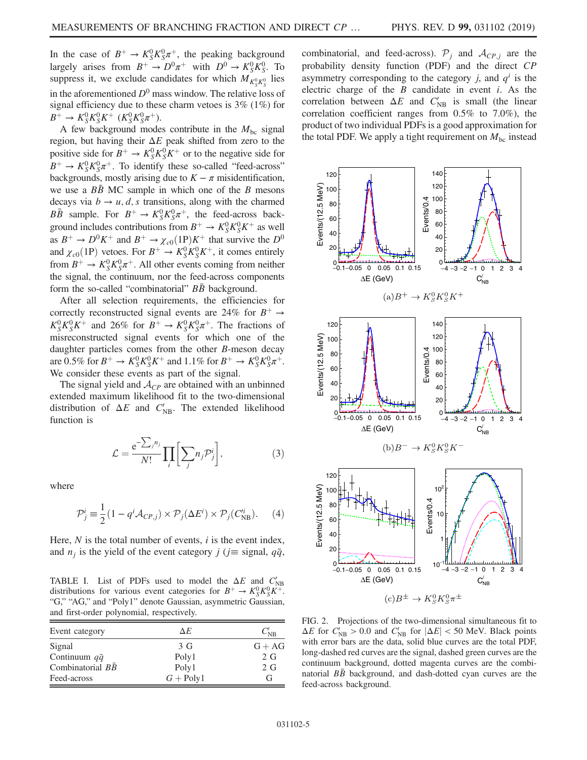In the case of  $B^+ \to K_S^0 K_S^0 \pi^+$ , the peaking background largely arises from  $B^+ \to D^0 \pi^+$  with  $D^0 \to K_S^0 K_S^0$ . To suppress it, we exclude candidates for which  $M_{K_S^0 K_S^0}$  lies in the aforementioned  $D^0$  mass window. The relative loss of signal efficiency due to these charm vetoes is  $3\%$  (1%) for  $B^+ \to K_S^0 K_S^0 K^+$  ( $K_S^0 K_S^0 \pi^+$ ).

A few background modes contribute in the  $M_{bc}$  signal region, but having their  $\Delta E$  peak shifted from zero to the positive side for  $B^+ \to K_S^0 K_S^0 K^+$  or to the negative side for  $B^+ \to K_S^0 K_S^0 \pi^+$ . To identify these so-called "feed-across" backgrounds, mostly arising due to  $K - \pi$  misidentification, we use a  $B\overline{B}$  MC sample in which one of the B mesons decays via  $b \rightarrow u, d, s$  transitions, along with the charmed  $B\overline{B}$  sample. For  $B^+ \to K_S^0 K_S^0 \pi^+$ , the feed-across background includes contributions from  $B^+ \to K_S^0 K_S^0 K^+$  as well as  $B^+ \to D^0 K^+$  and  $B^+ \to \chi_{c0}(1P)K^+$  that survive the  $D^0$ and  $\chi_{c0}(1P)$  vetoes. For  $B^+ \to K_S^0 K_S^0 K^+$ , it comes entirely from  $B^+ \to K_S^0 K_S^0 \pi^+$ . All other events coming from neither the signal, the continuum, nor the feed-across components form the so-called "combinatorial" *BB* background.

After all selection requirements, the efficiencies for correctly reconstructed signal events are 24% for  $B^+ \rightarrow$  $K_S^0 K_S^0 K^+$  and 26% for  $B^+ \to K_S^0 K_S^0 \pi^+$ . The fractions of misreconstructed signal events for which one of the daughter particles comes from the other B-meson decay are 0.5% for  $B^+ \to K_S^0 K_S^0 K^+$  and 1.1% for  $B^+ \to K_S^0 K_S^0 \pi^+$ . We consider these events as part of the signal.

The signal yield and  $A_{CP}$  are obtained with an unbinned extended maximum likelihood fit to the two-dimensional distribution of  $\Delta E$  and  $C'_{\text{NB}}$ . The extended likelihood function is

$$
\mathcal{L} = \frac{e^{-\sum_j n_j}}{N!} \prod_i \left[ \sum_j n_j \mathcal{P}_j^i \right],\tag{3}
$$

where

$$
\mathcal{P}_j^i \equiv \frac{1}{2} (1 - q^i \mathcal{A}_{CP,j}) \times \mathcal{P}_j(\Delta E^i) \times \mathcal{P}_j(C_{\text{NB}}^{i}). \tag{4}
$$

Here,  $N$  is the total number of events,  $i$  is the event index, and  $n_j$  is the yield of the event category j (j≡ signal,  $q\bar{q}$ ,

<span id="page-4-0"></span>TABLE I. List of PDFs used to model the  $\Delta E$  and  $C_{NB}$ distributions for various event categories for  $B^+ \to K_S^0 K_S^0 K^+$ . "G," "AG," and "Poly1" denote Gaussian, asymmetric Gaussian, and first-order polynomial, respectively.

| Event category           | ΔE             | $C_{\rm NB}'$ |  |  |
|--------------------------|----------------|---------------|--|--|
| Signal                   | 3 <sub>G</sub> | $G + AG$      |  |  |
| Continuum $q\bar{q}$     | Poly1          | 2G            |  |  |
| Combinatorial $B\bar{B}$ | Poly1          | 2G            |  |  |
| Feed-across              | $G + Poly1$    | G             |  |  |

combinatorial, and feed-across).  $\mathcal{P}_i$  and  $\mathcal{A}_{CP,i}$  are the probability density function (PDF) and the direct CP asymmetry corresponding to the category j, and  $q<sup>i</sup>$  is the electric charge of the  $B$  candidate in event  $i$ . As the correlation between  $\Delta E$  and  $C'_{NB}$  is small (the linear correlation coefficient ranges from 0.5% to 7.0%), the product of two individual PDFs is a good approximation for the total PDF. We apply a tight requirement on  $M_{bc}$  instead

<span id="page-4-1"></span>

FIG. 2. Projections of the two-dimensional simultaneous fit to  $\Delta E$  for  $C_{NB}$  > 0.0 and  $C_{NB}$  for  $|\Delta E|$  < 50 MeV. Black points with error bars are the data, solid blue curves are the total PDF, long-dashed red curves are the signal, dashed green curves are the continuum background, dotted magenta curves are the combinatorial  $B\bar{B}$  background, and dash-dotted cyan curves are the feed-across background.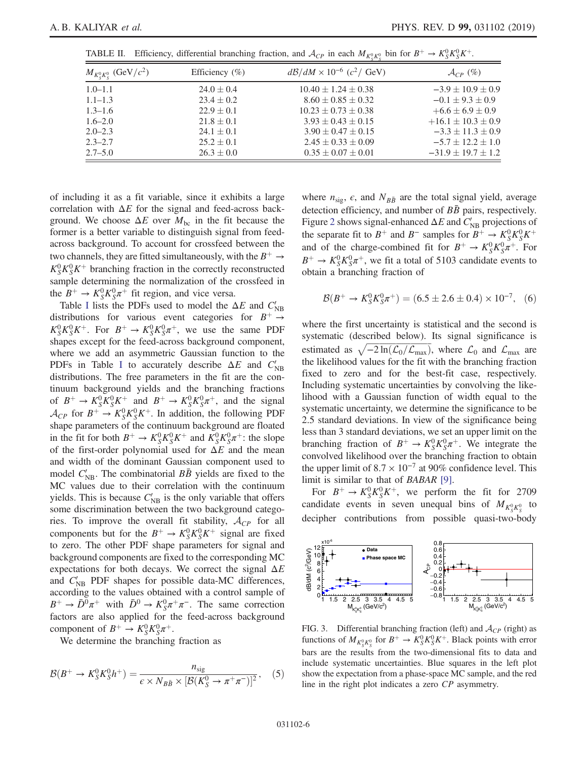<span id="page-5-0"></span>

|  | TABLE II. Efficiency, differential branching fraction, and $\mathcal{A}_{CP}$ in each $M_{K^0_s K^0_s}$ bin for $B^+ \to K^0_s K^0_s K^+$ . |  |  |  |  |  |  |  |  |  |  |  |
|--|---------------------------------------------------------------------------------------------------------------------------------------------|--|--|--|--|--|--|--|--|--|--|--|
|--|---------------------------------------------------------------------------------------------------------------------------------------------|--|--|--|--|--|--|--|--|--|--|--|

| $M_{K_S^0 K_S^0}$ (GeV/ $c^2$ ) | Efficiency $(\% )$ | $d\mathcal{B}/dM \times 10^{-6}$ (c <sup>2</sup> / GeV) | $\mathcal{A}_{CP}$ (%)   |
|---------------------------------|--------------------|---------------------------------------------------------|--------------------------|
| $1.0 - 1.1$                     | $24.0 \pm 0.4$     | $10.40 \pm 1.24 \pm 0.38$                               | $-3.9 \pm 10.9 \pm 0.9$  |
| $1.1 - 1.3$                     | $23.4 \pm 0.2$     | $8.60 \pm 0.85 \pm 0.32$                                | $-0.1 \pm 9.3 \pm 0.9$   |
| $1.3 - 1.6$                     | $22.9 \pm 0.1$     | $10.23 \pm 0.73 \pm 0.38$                               | $+6.6 \pm 6.9 \pm 0.9$   |
| $1.6 - 2.0$                     | $21.8 \pm 0.1$     | $3.93 \pm 0.43 \pm 0.15$                                | $+16.1 \pm 10.3 \pm 0.9$ |
| $2.0 - 2.3$                     | $24.1 \pm 0.1$     | $3.90 \pm 0.47 \pm 0.15$                                | $-3.3 \pm 11.3 \pm 0.9$  |
| $2.3 - 2.7$                     | $25.2 \pm 0.1$     | $2.45 \pm 0.33 \pm 0.09$                                | $-5.7 \pm 12.2 \pm 1.0$  |
| $2.7 - 5.0$                     | $26.3 \pm 0.0$     | $0.35 \pm 0.07 \pm 0.01$                                | $-31.9 \pm 19.7 \pm 1.2$ |

of including it as a fit variable, since it exhibits a large correlation with  $\Delta E$  for the signal and feed-across background. We choose  $\Delta E$  over  $M_{bc}$  in the fit because the former is a better variable to distinguish signal from feedacross background. To account for crossfeed between the two channels, they are fitted simultaneously, with the  $B^+ \rightarrow$  $K_S^0 K_S^0 K^+$  branching fraction in the correctly reconstructed sample determining the normalization of the crossfeed in the  $B^+ \to K_S^0 K_S^0 \pi^+$  fit region, and vice versa.

Table [I](#page-4-0) lists the PDFs used to model the  $\Delta E$  and  $C_{NB}'$ distributions for various event categories for  $B^+ \rightarrow$  $K_S^0 K_S^0 K^+$ . For  $B^+ \to K_S^0 K_S^0 \pi^+$ , we use the same PDF shapes except for the feed-across background component, where we add an asymmetric Gaussian function to the PDFs in Table [I](#page-4-0) to accurately describe  $\Delta E$  and  $C_{NB}'$ distributions. The free parameters in the fit are the continuum background yields and the branching fractions of  $B^+ \to K_S^0 K_S^0 K^+$  and  $B^+ \to K_S^0 K_S^0 \pi^+$ , and the signal  $\mathcal{A}_{CP}$  for  $B^+ \to K_S^0 K_S^0 K^+$ . In addition, the following PDF shape parameters of the continuum background are floated in the fit for both  $B^+ \to K_S^0 K_S^0 K^+$  and  $K_S^0 K_S^0 \pi^+$ : the slope of the first-order polynomial used for  $\Delta E$  and the mean and width of the dominant Gaussian component used to model  $C_{NB}'$ . The combinatorial  $B\bar{B}$  yields are fixed to the MC values due to their correlation with the continuum yields. This is because  $C'_{NB}$  is the only variable that offers some discrimination between the two background categories. To improve the overall fit stability,  $A_{CP}$  for all components but for the  $B^+ \to K_S^0 K_S^0 K^+$  signal are fixed to zero. The other PDF shape parameters for signal and background components are fixed to the corresponding MC expectations for both decays. We correct the signal  $\Delta E$ and  $C'_{NB}$  PDF shapes for possible data-MC differences, according to the values obtained with a control sample of  $B^+ \to \bar{D}^0 \pi^+$  with  $\bar{D}^0 \to K_S^0 \pi^+ \pi^-$ . The same correction factors are also applied for the feed-across background component of  $B^+ \to K_S^0 K_S^0 \pi^+$ .

We determine the branching fraction as

$$
\mathcal{B}(B^+ \to K_S^0 K_S^0 h^+) = \frac{n_{\text{sig}}}{\epsilon \times N_{B\bar{B}} \times [\mathcal{B}(K_S^0 \to \pi^+ \pi^-)]^2}, \quad (5)
$$

where  $n_{\text{sig}}$ ,  $\epsilon$ , and  $N_{B\bar{B}}$  are the total signal yield, average detection efficiency, and number of  $B\bar{B}$  pairs, respectively. Figure [2](#page-4-1) shows signal-enhanced  $\Delta E$  and  $C_{NB}$  projections of the separate fit to  $B^+$  and  $B^-$  samples for  $B^+ \to K_S^0 K_S^0 K^+$ and of the charge-combined fit for  $B^+ \to K_S^0 K_S^0 \bar{\pi}^+$ . For  $B^+ \to K_S^0 K_S^0 \pi^+$ , we fit a total of 5103 candidate events to obtain a branching fraction of

$$
\mathcal{B}(B^+ \to K_S^0 K_S^0 \pi^+) = (6.5 \pm 2.6 \pm 0.4) \times 10^{-7}, \quad (6)
$$

where the first uncertainty is statistical and the second is systematic (described below). Its signal significance is estimated as  $\sqrt{-2 \ln(\mathcal{L}_0/\mathcal{L}_{max})}$ , where  $\mathcal{L}_0$  and  $\mathcal{L}_{max}$  are the likelihood values for the fit with the branching fraction fixed to zero and for the best-fit case, respectively. Including systematic uncertainties by convolving the likelihood with a Gaussian function of width equal to the systematic uncertainty, we determine the significance to be 2.5 standard deviations. In view of the significance being less than 3 standard deviations, we set an upper limit on the branching fraction of  $B^+ \to K_S^0 K_S^0 \pi^+$ . We integrate the convolved likelihood over the branching fraction to obtain the upper limit of  $8.7 \times 10^{-7}$  at 90% confidence level. This limit is similar to that of BABAR [\[9\].](#page-8-8)

For  $B^+ \to K_S^0 K_S^0 K^+$ , we perform the fit for 2709 candidate events in seven unequal bins of  $M_{K_S^0 K_S^0}$  to decipher contributions from possible quasi-two-body

<span id="page-5-1"></span>

FIG. 3. Differential branching fraction (left) and  $A_{CP}$  (right) as functions of  $M_{K^0_S K^0_S}$  for  $B^+ \to \overline{K^0_S K^0_S K^+}$ . Black points with error bars are the results from the two-dimensional fits to data and include systematic uncertainties. Blue squares in the left plot show the expectation from a phase-space MC sample, and the red line in the right plot indicates a zero CP asymmetry.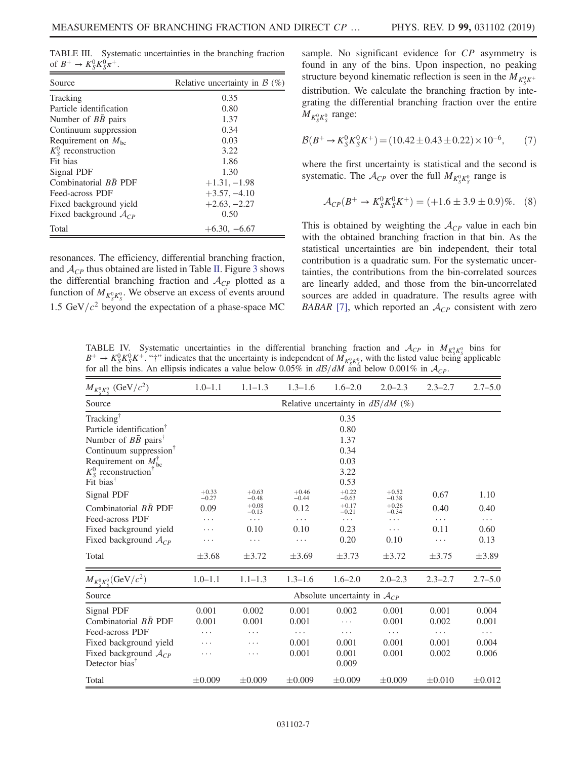<span id="page-6-0"></span>TABLE III. Systematic uncertainties in the branching fraction of  $B^+ \to K_S^0 K_S^0 \pi^+$ .

| Source                       | Relative uncertainty in $\beta$ (%) |
|------------------------------|-------------------------------------|
| Tracking                     | 0.35                                |
| Particle identification      | 0.80                                |
| Number of $B\bar{B}$ pairs   | 1.37                                |
| Continuum suppression        | 0.34                                |
| Requirement on $M_{bc}$      | 0.03                                |
| $K_S^0$ reconstruction       | 3.22                                |
| Fit bias                     | 1.86                                |
| Signal PDF                   | 1.30                                |
| Combinatorial $B\bar{B}$ PDF | $+1.31, -1.98$                      |
| Feed-across PDF              | $+3.57, -4.10$                      |
| Fixed background yield       | $+2.63, -2.27$                      |
| Fixed background $A_{CP}$    | 0.50                                |
| Total                        | $+6.30, -6.67$                      |

resonances. The efficiency, differential branching fraction, and  $A_{CP}$  thus obtained are listed in Table [II](#page-5-0). Figure [3](#page-5-1) shows the differential branching fraction and  $A_{CP}$  plotted as a function of  $M_{K^0_S K^0_S}$ . We observe an excess of events around 1.5 GeV/ $c<sup>2</sup>$  beyond the expectation of a phase-space MC sample. No significant evidence for CP asymmetry is found in any of the bins. Upon inspection, no peaking structure beyond kinematic reflection is seen in the  $M_{K^0_S K^+}$ distribution. We calculate the branching fraction by integrating the differential branching fraction over the entire  $\overline{M}_{K_S^0 K_S^0}$  range:

$$
\mathcal{B}(B^+ \to K_S^0 K_S^0 K^+) = (10.42 \pm 0.43 \pm 0.22) \times 10^{-6},\tag{7}
$$

where the first uncertainty is statistical and the second is systematic. The  $\mathcal{A}_{CP}$  over the full  $M_{K_S^0 K_S^0}$  range is

$$
\mathcal{A}_{CP}(B^+ \to K_S^0 K_S^0 K^+) = (+1.6 \pm 3.9 \pm 0.9)\%.
$$
 (8)

This is obtained by weighting the  $A_{CP}$  value in each bin with the obtained branching fraction in that bin. As the statistical uncertainties are bin independent, their total contribution is a quadratic sum. For the systematic uncertainties, the contributions from the bin-correlated sources are linearly added, and those from the bin-uncorrelated sources are added in quadrature. The results agree with BABAR [\[7\],](#page-8-6) which reported an  $A_{CP}$  consistent with zero

<span id="page-6-1"></span>TABLE IV. Systematic uncertainties in the differential branching fraction and  $\mathcal{A}_{CP}$  in  $M_{K^0_S K^0_S}$  bins for  $B^+ \to K_S^0 K_S^0 K^+$ . "†" indicates that the uncertainty is independent of  $M_{K_S^0 K_S^0}$ , with the listed value being applicable for all the bins. An ellipsis indicates a value below 0.05% in  $d\mathcal{B}/dM$  and below 0.001% in  $\mathcal{A}_{CP}$ .

| $M_{K_S^0 K_S^0}$ (GeV/ $c^2$ )                                                                                                                                                                                                                             | $1.0 - 1.1$                                   | $1.1 - 1.3$        | $1.3 - 1.6$        | $1.6 - 2.0$<br>$2.0 - 2.3$                           |                    | $2.3 - 2.7$ | $2.7 - 5.0$ |  |
|-------------------------------------------------------------------------------------------------------------------------------------------------------------------------------------------------------------------------------------------------------------|-----------------------------------------------|--------------------|--------------------|------------------------------------------------------|--------------------|-------------|-------------|--|
| Source                                                                                                                                                                                                                                                      | Relative uncertainty in $d\mathcal{B}/dM$ (%) |                    |                    |                                                      |                    |             |             |  |
| Tracking <sup>†</sup><br>Particle identification <sup>1</sup><br>Number of $B\bar{B}$ pairs <sup>†</sup><br>Continuum suppression <sup>T</sup><br>Requirement on $M_{\text{bc}}^{\text{T}}$<br>$K_S^0$ reconstruction <sup>†</sup><br>Fit bias <sup>†</sup> |                                               |                    |                    | 0.35<br>0.80<br>1.37<br>0.34<br>0.03<br>3.22<br>0.53 |                    |             |             |  |
| Signal PDF                                                                                                                                                                                                                                                  | $+0.33$<br>$-0.27$                            | $+0.63$<br>$-0.48$ | $+0.46$<br>$-0.44$ | $+0.22$<br>$-0.63$                                   | $+0.52$<br>$-0.38$ | 0.67        | 1.10        |  |
| Combinatorial $B\bar{B}$ PDF                                                                                                                                                                                                                                | 0.09                                          | $+0.08$<br>$-0.13$ | 0.12               | $+0.17$<br>$-0.21$                                   | $+0.26$<br>$-0.34$ | 0.40        | 0.40        |  |
| Feed-across PDF                                                                                                                                                                                                                                             | .                                             | .                  | .                  | $\cdots$                                             | .                  | .           | .           |  |
| Fixed background yield                                                                                                                                                                                                                                      | .                                             | 0.10               | 0.10               | 0.23                                                 | .                  | 0.11        | 0.60        |  |
| Fixed background $A_{CP}$                                                                                                                                                                                                                                   | .                                             | .                  | .                  | 0.20                                                 | 0.10               | .           | 0.13        |  |
| Total                                                                                                                                                                                                                                                       | $\pm 3.68$                                    | $\pm$ 3.72         | $\pm 3.69$         | $\pm 3.73$                                           | $\pm 3.72$         | $\pm$ 3.75  | $\pm 3.89$  |  |
| $M_{K_S^0 K_S^0}({\rm GeV}/c^2)$                                                                                                                                                                                                                            | $1.0 - 1.1$                                   | $1.1 - 1.3$        | $1.3 - 1.6$        | $1.6 - 2.0$                                          | $2.0 - 2.3$        | $2.3 - 2.7$ | $2.7 - 5.0$ |  |
| Source                                                                                                                                                                                                                                                      | Absolute uncertainty in $A_{CP}$              |                    |                    |                                                      |                    |             |             |  |
| Signal PDF                                                                                                                                                                                                                                                  | 0.001                                         | 0.002              | 0.001              | 0.002                                                | 0.001              | 0.001       | 0.004       |  |
| Combinatorial $B\bar{B}$ PDF                                                                                                                                                                                                                                | 0.001                                         | 0.001              | 0.001              | .                                                    | 0.001              | 0.002       | 0.001       |  |
| Feed-across PDF                                                                                                                                                                                                                                             | .                                             | .                  | .                  | .                                                    | .                  |             |             |  |
| Fixed background yield                                                                                                                                                                                                                                      |                                               | .                  | 0.001              | 0.001                                                | 0.001              | 0.001       | 0.004       |  |
| Fixed background $A_{CP}$<br>Detector bias <sup>†</sup>                                                                                                                                                                                                     | .                                             | .                  | 0.001              | 0.001<br>0.009                                       | 0.001              | 0.002       | 0.006       |  |
| Total                                                                                                                                                                                                                                                       | $\pm 0.009$                                   | $\pm 0.009$        | $\pm 0.009$        | $\pm 0.009$                                          | $\pm 0.009$        | $\pm 0.010$ | $\pm 0.012$ |  |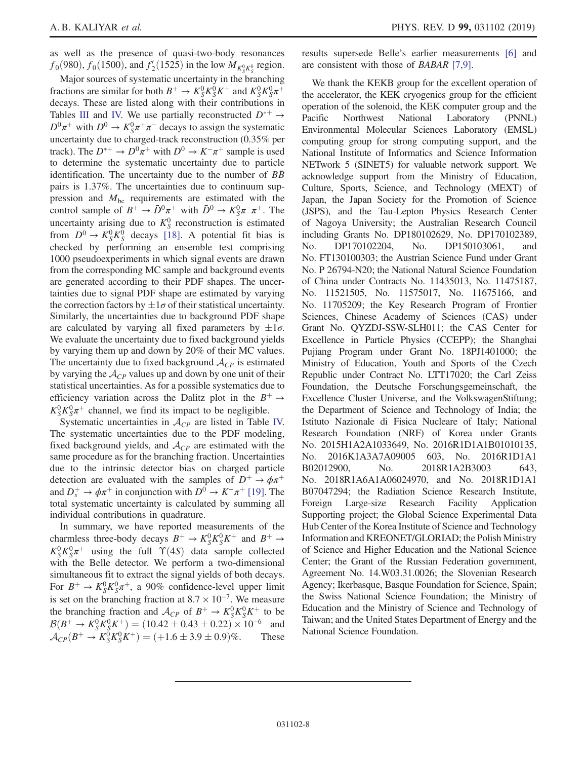as well as the presence of quasi-two-body resonances  $f_0(980)$ ,  $f_0(1500)$ , and  $f_2'(1525)$  in the low  $M_{K_S^0 K_S^0}$  region.

Major sources of systematic uncertainty in the branching fractions are similar for both  $B^+ \to K_S^0 K_S^0 K^+$  and  $K_S^0 K_S^0 \pi^+$ decays. These are listed along with their contributions in Tables [III](#page-6-0) and [IV.](#page-6-1) We use partially reconstructed  $D^{*+} \rightarrow$  $D^0 \pi^+$  with  $D^0 \to K_S^0 \pi^+ \pi^-$  decays to assign the systematic uncertainty due to charged-track reconstruction (0.35% per track). The  $D^{*+} \to D^0 \pi^+$  with  $D^0 \to K^- \pi^+$  sample is used to determine the systematic uncertainty due to particle identification. The uncertainty due to the number of  $BB$ pairs is 1.37%. The uncertainties due to continuum suppression and  $M_{bc}$  requirements are estimated with the control sample of  $B^+ \to \bar{D}^0 \pi^+$  with  $\bar{D}^0 \to K_S^0 \pi^- \pi^+$ . The uncertainty arising due to  $K_S^0$  reconstruction is estimated from  $D^0 \to K_S^0 K_S^0$  decays [\[18\].](#page-8-17) A potential fit bias is checked by performing an ensemble test comprising 1000 pseudoexperiments in which signal events are drawn from the corresponding MC sample and background events are generated according to their PDF shapes. The uncertainties due to signal PDF shape are estimated by varying the correction factors by  $\pm 1\sigma$  of their statistical uncertainty. Similarly, the uncertainties due to background PDF shape are calculated by varying all fixed parameters by  $\pm 1\sigma$ . We evaluate the uncertainty due to fixed background yields by varying them up and down by 20% of their MC values. The uncertainty due to fixed background  $A_{CP}$  is estimated by varying the  $\mathcal{A}_{CP}$  values up and down by one unit of their statistical uncertainties. As for a possible systematics due to efficiency variation across the Dalitz plot in the  $B^+ \rightarrow$  $K_S^0 K_S^0 \pi^+$  channel, we find its impact to be negligible.

Systematic uncertainties in  $A_{CP}$  are listed in Table [IV.](#page-6-1) The systematic uncertainties due to the PDF modeling, fixed background yields, and  $A_{CP}$  are estimated with the same procedure as for the branching fraction. Uncertainties due to the intrinsic detector bias on charged particle detection are evaluated with the samples of  $D^+ \rightarrow \phi \pi^+$ and  $D_s^+ \to \phi \pi^+$  in conjunction with  $D^0 \to K^-\pi^+$  [\[19\].](#page-8-18) The total systematic uncertainty is calculated by summing all individual contributions in quadrature.

In summary, we have reported measurements of the charmless three-body decays  $B^+ \to K_S^0 K_S^0 K^+$  and  $B^+ \to$  $K_S^0 K_S^0 \pi^+$  using the full  $\Upsilon(4S)$  data sample collected with the Belle detector. We perform a two-dimensional simultaneous fit to extract the signal yields of both decays. For  $B^+ \to K_S^0 K_S^0 \pi^+$ , a 90% confidence-level upper limit is set on the branching fraction at  $8.7 \times 10^{-7}$ . We measure the branching fraction and  $\mathcal{A}_{CP}$  of  $B^+ \to K_S^0 K_S^0 K^+$  to be  $\mathcal{B}(B^+ \to K_S^0 K_S^0 K^+) = (10.42 \pm 0.43 \pm 0.22) \times 10^{-6}$  and  $\mathcal{A}_{CP}(B^+ \to K_S^0 K_S^0 K^+) = (+1.6 \pm 3.9 \pm 0.9)\%$ . These results supersede Belle's earlier measurements [\[6\]](#page-8-5) and are consistent with those of BABAR [\[7,9\].](#page-8-6)

We thank the KEKB group for the excellent operation of the accelerator, the KEK cryogenics group for the efficient operation of the solenoid, the KEK computer group and the Pacific Northwest National Laboratory (PNNL) Environmental Molecular Sciences Laboratory (EMSL) computing group for strong computing support, and the National Institute of Informatics and Science Information NETwork 5 (SINET5) for valuable network support. We acknowledge support from the Ministry of Education, Culture, Sports, Science, and Technology (MEXT) of Japan, the Japan Society for the Promotion of Science (JSPS), and the Tau-Lepton Physics Research Center of Nagoya University; the Australian Research Council including Grants No. DP180102629, No. DP170102389, No. DP170102204, No. DP150103061, and No. FT130100303; the Austrian Science Fund under Grant No. P 26794-N20; the National Natural Science Foundation of China under Contracts No. 11435013, No. 11475187, No. 11521505, No. 11575017, No. 11675166, and No. 11705209; the Key Research Program of Frontier Sciences, Chinese Academy of Sciences (CAS) under Grant No. QYZDJ-SSW-SLH011; the CAS Center for Excellence in Particle Physics (CCEPP); the Shanghai Pujiang Program under Grant No. 18PJ1401000; the Ministry of Education, Youth and Sports of the Czech Republic under Contract No. LTT17020; the Carl Zeiss Foundation, the Deutsche Forschungsgemeinschaft, the Excellence Cluster Universe, and the VolkswagenStiftung; the Department of Science and Technology of India; the Istituto Nazionale di Fisica Nucleare of Italy; National Research Foundation (NRF) of Korea under Grants No. 2015H1A2A1033649, No. 2016R1D1A1B01010135, No. 2016K1A3A7A09005 603, No. 2016R1D1A1 B02012900, No. 2018R1A2B3003 643, No. 2018R1A6A1A06024970, and No. 2018R1D1A1 B07047294; the Radiation Science Research Institute, Foreign Large-size Research Facility Application Supporting project; the Global Science Experimental Data Hub Center of the Korea Institute of Science and Technology Information and KREONET/GLORIAD; the Polish Ministry of Science and Higher Education and the National Science Center; the Grant of the Russian Federation government, Agreement No. 14.W03.31.0026; the Slovenian Research Agency; Ikerbasque, Basque Foundation for Science, Spain; the Swiss National Science Foundation; the Ministry of Education and the Ministry of Science and Technology of Taiwan; and the United States Department of Energy and the National Science Foundation.